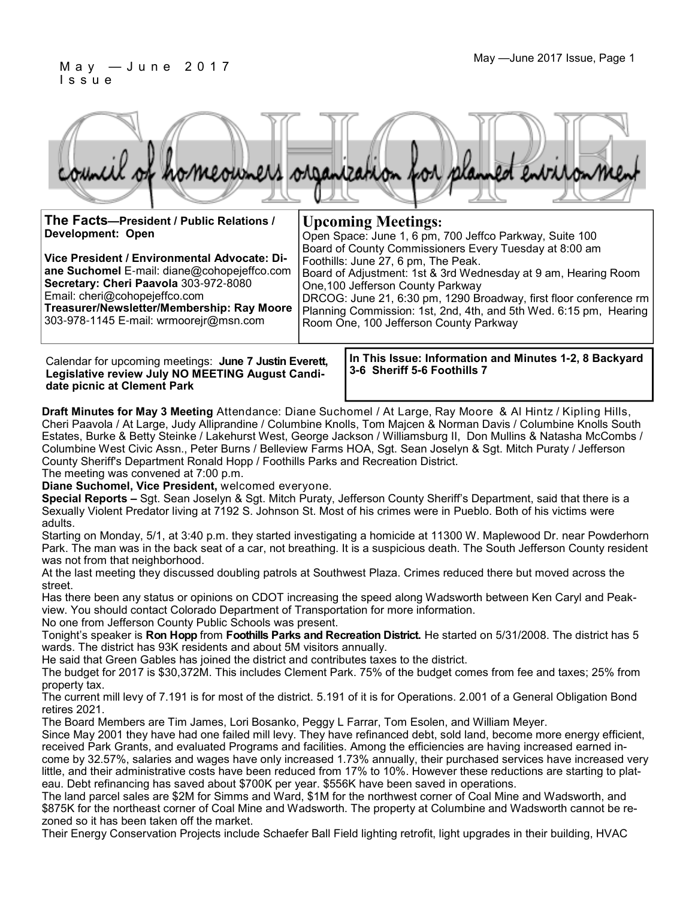#### May — June 2017 Issue, Page 1 I s s u e



**The Facts—President / Public Relations / Development: Open Upcoming Meetings:** Open Space: June 1, 6 pm, 700 Jeffco Parkway, Suite 100

**Vice President / Environmental Advocate: Diane Suchomel** E-mail: diane@cohopejeffco.com **Secretary: Cheri Paavola** 303-972-8080 Email: cheri@cohopejeffco.com **Treasurer/Newsletter/Membership: Ray Moore** 

303-978-1145 E-mail: wrmoorejr@msn.com

Calendar for upcoming meetings: **June 7 Justin Everett, Legislative review July NO MEETING August Candidate picnic at Clement Park**

**In This Issue: Information and Minutes 1-2, 8 Backyard 3-6 Sheriff 5-6 Foothills 7**

Board of County Commissioners Every Tuesday at 8:00 am

Board of Adjustment: 1st & 3rd Wednesday at 9 am, Hearing Room

DRCOG: June 21, 6:30 pm, 1290 Broadway, first floor conference rm Planning Commission: 1st, 2nd, 4th, and 5th Wed. 6:15 pm, Hearing

Foothills: June 27, 6 pm, The Peak.

One,100 Jefferson County Parkway

Room One, 100 Jefferson County Parkway

**Draft Minutes for May 3 Meeting** Attendance: Diane Suchomel / At Large, Ray Moore & Al Hintz / Kipling Hills, Cheri Paavola / At Large, Judy Alliprandine / Columbine Knolls, Tom Majcen & Norman Davis / Columbine Knolls South Estates, Burke & Betty Steinke / Lakehurst West, George Jackson / Williamsburg II, Don Mullins & Natasha McCombs / Columbine West Civic Assn., Peter Burns / Belleview Farms HOA, Sgt. Sean Joselyn & Sgt. Mitch Puraty / Jefferson County Sheriff's Department Ronald Hopp / Foothills Parks and Recreation District.

The meeting was convened at 7:00 p.m.

**Diane Suchomel, Vice President,** welcomed everyone.

**Special Reports –** Sgt. Sean Joselyn & Sgt. Mitch Puraty, Jefferson County Sheriff's Department, said that there is a Sexually Violent Predator living at 7192 S. Johnson St. Most of his crimes were in Pueblo. Both of his victims were adults.

Starting on Monday, 5/1, at 3:40 p.m. they started investigating a homicide at 11300 W. Maplewood Dr. near Powderhorn Park. The man was in the back seat of a car, not breathing. It is a suspicious death. The South Jefferson County resident was not from that neighborhood.

At the last meeting they discussed doubling patrols at Southwest Plaza. Crimes reduced there but moved across the street.

Has there been any status or opinions on CDOT increasing the speed along Wadsworth between Ken Caryl and Peakview. You should contact Colorado Department of Transportation for more information.

No one from Jefferson County Public Schools was present.

Tonight's speaker is **Ron Hopp** from **Foothills Parks and Recreation District.** He started on 5/31/2008. The district has 5 wards. The district has 93K residents and about 5M visitors annually.

He said that Green Gables has joined the district and contributes taxes to the district.

The budget for 2017 is \$30,372M. This includes Clement Park. 75% of the budget comes from fee and taxes; 25% from property tax.

The current mill levy of 7.191 is for most of the district. 5.191 of it is for Operations. 2.001 of a General Obligation Bond retires 2021.

The Board Members are Tim James, Lori Bosanko, Peggy L Farrar, Tom Esolen, and William Meyer.

Since May 2001 they have had one failed mill levy. They have refinanced debt, sold land, become more energy efficient, received Park Grants, and evaluated Programs and facilities. Among the efficiencies are having increased earned income by 32.57%, salaries and wages have only increased 1.73% annually, their purchased services have increased very little, and their administrative costs have been reduced from 17% to 10%. However these reductions are starting to plateau. Debt refinancing has saved about \$700K per year. \$556K have been saved in operations.

The land parcel sales are \$2M for Simms and Ward, \$1M for the northwest corner of Coal Mine and Wadsworth, and \$875K for the northeast corner of Coal Mine and Wadsworth. The property at Columbine and Wadsworth cannot be rezoned so it has been taken off the market.

Their Energy Conservation Projects include Schaefer Ball Field lighting retrofit, light upgrades in their building, HVAC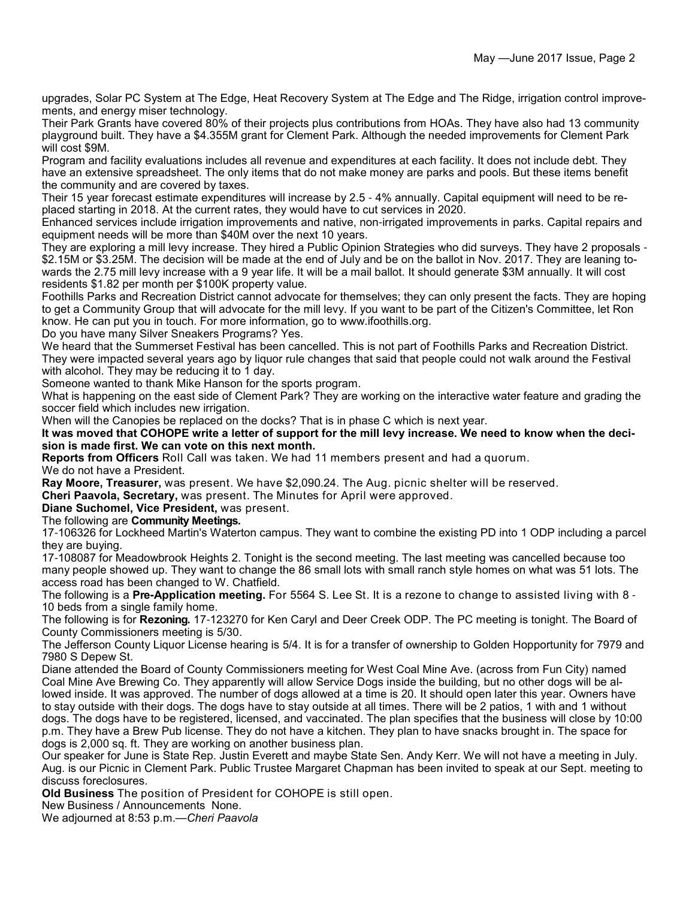upgrades, Solar PC System at The Edge, Heat Recovery System at The Edge and The Ridge, irrigation control improvements, and energy miser technology.

Their Park Grants have covered 80% of their projects plus contributions from HOAs. They have also had 13 community playground built. They have a \$4.355M grant for Clement Park. Although the needed improvements for Clement Park will cost \$9M.

Program and facility evaluations includes all revenue and expenditures at each facility. It does not include debt. They have an extensive spreadsheet. The only items that do not make money are parks and pools. But these items benefit the community and are covered by taxes.

Their 15 year forecast estimate expenditures will increase by 2.5 - 4% annually. Capital equipment will need to be replaced starting in 2018. At the current rates, they would have to cut services in 2020.

Enhanced services include irrigation improvements and native, non-irrigated improvements in parks. Capital repairs and equipment needs will be more than \$40M over the next 10 years.

They are exploring a mill levy increase. They hired a Public Opinion Strategies who did surveys. They have 2 proposals - \$2.15M or \$3.25M. The decision will be made at the end of July and be on the ballot in Nov. 2017. They are leaning towards the 2.75 mill levy increase with a 9 year life. It will be a mail ballot. It should generate \$3M annually. It will cost residents \$1.82 per month per \$100K property value.

Foothills Parks and Recreation District cannot advocate for themselves; they can only present the facts. They are hoping to get a Community Group that will advocate for the mill levy. If you want to be part of the Citizen's Committee, let Ron know. He can put you in touch. For more information, go to www.ifoothills.org.

Do you have many Silver Sneakers Programs? Yes.

We heard that the Summerset Festival has been cancelled. This is not part of Foothills Parks and Recreation District. They were impacted several years ago by liquor rule changes that said that people could not walk around the Festival with alcohol. They may be reducing it to 1 day.

Someone wanted to thank Mike Hanson for the sports program.

What is happening on the east side of Clement Park? They are working on the interactive water feature and grading the soccer field which includes new irrigation.

When will the Canopies be replaced on the docks? That is in phase C which is next year.

**It was moved that COHOPE write a letter of support for the mill levy increase. We need to know when the decision is made first. We can vote on this next month.**

**Reports from Officers** Roll Call was taken. We had 11 members present and had a quorum. We do not have a President.

**Ray Moore, Treasurer,** was present. We have \$2,090.24. The Aug. picnic shelter will be reserved.

**Cheri Paavola, Secretary,** was present. The Minutes for April were approved.

**Diane Suchomel, Vice President,** was present.

The following are **Community Meetings.**

17-106326 for Lockheed Martin's Waterton campus. They want to combine the existing PD into 1 ODP including a parcel they are buying.

17-108087 for Meadowbrook Heights 2. Tonight is the second meeting. The last meeting was cancelled because too many people showed up. They want to change the 86 small lots with small ranch style homes on what was 51 lots. The access road has been changed to W. Chatfield.

The following is a **Pre-Application meeting.** For 5564 S. Lee St. It is a rezone to change to assisted living with 8 - 10 beds from a single family home.

The following is for **Rezoning.** 17-123270 for Ken Caryl and Deer Creek ODP. The PC meeting is tonight. The Board of County Commissioners meeting is 5/30.

The Jefferson County Liquor License hearing is 5/4. It is for a transfer of ownership to Golden Hopportunity for 7979 and 7980 S Depew St.

Diane attended the Board of County Commissioners meeting for West Coal Mine Ave. (across from Fun City) named Coal Mine Ave Brewing Co. They apparently will allow Service Dogs inside the building, but no other dogs will be allowed inside. It was approved. The number of dogs allowed at a time is 20. It should open later this year. Owners have to stay outside with their dogs. The dogs have to stay outside at all times. There will be 2 patios, 1 with and 1 without dogs. The dogs have to be registered, licensed, and vaccinated. The plan specifies that the business will close by 10:00 p.m. They have a Brew Pub license. They do not have a kitchen. They plan to have snacks brought in. The space for dogs is 2,000 sq. ft. They are working on another business plan.

Our speaker for June is State Rep. Justin Everett and maybe State Sen. Andy Kerr. We will not have a meeting in July. Aug. is our Picnic in Clement Park. Public Trustee Margaret Chapman has been invited to speak at our Sept. meeting to discuss foreclosures.

**Old Business** The position of President for COHOPE is still open.

New Business / Announcements None.

We adjourned at 8:53 p.m.—*Cheri Paavola*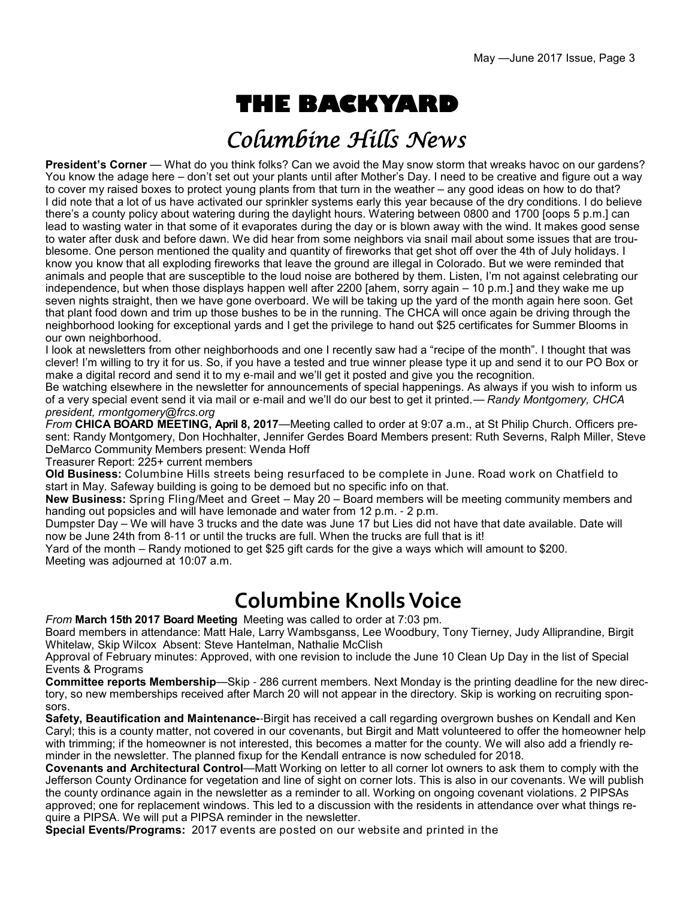# **THE BACKYARD**

## Columbine Hills News

**President's Corner** — What do you think folks? Can we avoid the May snow storm that wreaks havoc on our gardens? You know the adage here – don't set out your plants until after Mother's Day. I need to be creative and figure out a way to cover my raised boxes to protect young plants from that turn in the weather – any good ideas on how to do that? I did note that a lot of us have activated our sprinkler systems early this year because of the dry conditions. I do believe there's a county policy about watering during the daylight hours. Watering between 0800 and 1700 [oops 5 p.m.] can lead to wasting water in that some of it evaporates during the day or is blown away with the wind. It makes good sense to water after dusk and before dawn. We did hear from some neighbors via snail mail about some issues that are troublesome. One person mentioned the quality and quantity of fireworks that get shot off over the 4th of July holidays. I know you know that all exploding fireworks that leave the ground are illegal in Colorado. But we were reminded that animals and people that are susceptible to the loud noise are bothered by them. Listen, I'm not against celebrating our independence, but when those displays happen well after 2200 [ahem, sorry again – 10 p.m.] and they wake me up seven nights straight, then we have gone overboard. We will be taking up the yard of the month again here soon. Get that plant food down and trim up those bushes to be in the running. The CHCA will once again be driving through the neighborhood looking for exceptional yards and I get the privilege to hand out \$25 certificates for Summer Blooms in our own neighborhood.

I look at newsletters from other neighborhoods and one I recently saw had a "recipe of the month". I thought that was clever! I'm willing to try it for us. So, if you have a tested and true winner please type it up and send it to our PO Box or make a digital record and send it to my e-mail and we'll get it posted and give you the recognition.

Be watching elsewhere in the newsletter for announcements of special happenings. As always if you wish to inform us of a very special event send it via mail or e-mail and we'll do our best to get it printed.— *Randy Montgomery, CHCA president, rmontgomery@frcs.org*

*From* **CHICA BOARD MEETING, April 8, 2017**—Meeting called to order at 9:07 a.m., at St Philip Church. Officers present: Randy Montgomery, Don Hochhalter, Jennifer Gerdes Board Members present: Ruth Severns, Ralph Miller, Steve DeMarco Community Members present: Wenda Hoff

Treasurer Report: 225+ current members

**Old Business:** Columbine Hills streets being resurfaced to be complete in June. Road work on Chatfield to start in May. Safeway building is going to be demoed but no specific info on that.

**New Business:** Spring Fling/Meet and Greet – May 20 – Board members will be meeting community members and handing out popsicles and will have lemonade and water from 12 p.m. - 2 p.m.

Dumpster Day – We will have 3 trucks and the date was June 17 but Lies did not have that date available. Date will now be June 24th from 8-11 or until the trucks are full. When the trucks are full that is it!

Yard of the month – Randy motioned to get \$25 gift cards for the give a ways which will amount to \$200. Meeting was adjourned at 10:07 a.m.

## **Columbine Knolls Voice**

*From* **March 15th 2017 Board Meeting** Meeting was called to order at 7:03 pm.

Board members in attendance: Matt Hale, Larry Wambsganss, Lee Woodbury, Tony Tierney, Judy Alliprandine, Birgit Whitelaw, Skip Wilcox Absent: Steve Hantelman, Nathalie McClish

Approval of February minutes: Approved, with one revision to include the June 10 Clean Up Day in the list of Special Events & Programs

**Committee reports Membership**—Skip - 286 current members. Next Monday is the printing deadline for the new directory, so new memberships received after March 20 will not appear in the directory. Skip is working on recruiting sponsors.

**Safety, Beautification and Maintenance-**-Birgit has received a call regarding overgrown bushes on Kendall and Ken Caryl; this is a county matter, not covered in our covenants, but Birgit and Matt volunteered to offer the homeowner help with trimming; if the homeowner is not interested, this becomes a matter for the county. We will also add a friendly reminder in the newsletter. The planned fixup for the Kendall entrance is now scheduled for 2018.

**Covenants and Architectural Control**—Matt Working on letter to all corner lot owners to ask them to comply with the Jefferson County Ordinance for vegetation and line of sight on corner lots. This is also in our covenants. We will publish the county ordinance again in the newsletter as a reminder to all. Working on ongoing covenant violations. 2 PIPSAs approved; one for replacement windows. This led to a discussion with the residents in attendance over what things require a PIPSA. We will put a PIPSA reminder in the newsletter.

**Special Events/Programs:** 2017 events are posted on our website and printed in the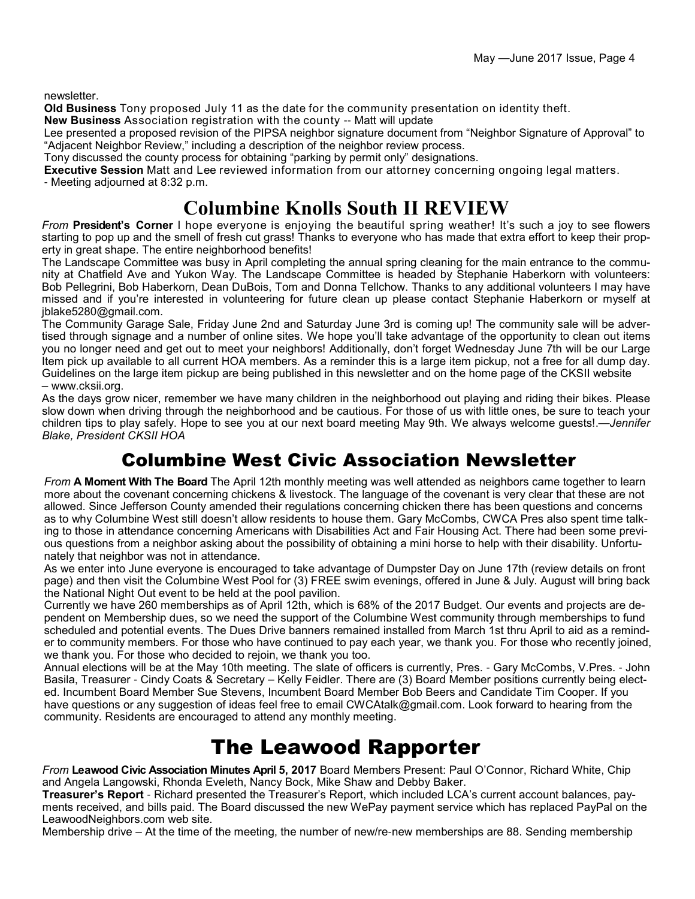newsletter.

**Old Business** Tony proposed July 11 as the date for the community presentation on identity theft.

**New Business** Association registration with the county -- Matt will update

Lee presented a proposed revision of the PIPSA neighbor signature document from "Neighbor Signature of Approval" to "Adjacent Neighbor Review," including a description of the neighbor review process.

Tony discussed the county process for obtaining "parking by permit only" designations.

**Executive Session** Matt and Lee reviewed information from our attorney concerning ongoing legal matters. - Meeting adjourned at 8:32 p.m.

### **Columbine Knolls South II REVIEW**

*From* **President's Corner** I hope everyone is enjoying the beautiful spring weather! It's such a joy to see flowers starting to pop up and the smell of fresh cut grass! Thanks to everyone who has made that extra effort to keep their property in great shape. The entire neighborhood benefits!

The Landscape Committee was busy in April completing the annual spring cleaning for the main entrance to the community at Chatfield Ave and Yukon Way. The Landscape Committee is headed by Stephanie Haberkorn with volunteers: Bob Pellegrini, Bob Haberkorn, Dean DuBois, Tom and Donna Tellchow. Thanks to any additional volunteers I may have missed and if you're interested in volunteering for future clean up please contact Stephanie Haberkorn or myself at jblake5280@gmail.com.

The Community Garage Sale, Friday June 2nd and Saturday June 3rd is coming up! The community sale will be advertised through signage and a number of online sites. We hope you'll take advantage of the opportunity to clean out items you no longer need and get out to meet your neighbors! Additionally, don't forget Wednesday June 7th will be our Large Item pick up available to all current HOA members. As a reminder this is a large item pickup, not a free for all dump day. Guidelines on the large item pickup are being published in this newsletter and on the home page of the CKSII website – www.cksii.org.

As the days grow nicer, remember we have many children in the neighborhood out playing and riding their bikes. Please slow down when driving through the neighborhood and be cautious. For those of us with little ones, be sure to teach your children tips to play safely. Hope to see you at our next board meeting May 9th. We always welcome guests!.—*Jennifer Blake, President CKSII HOA*

### Columbine West Civic Association Newsletter

*From* **A Moment With The Board** The April 12th monthly meeting was well attended as neighbors came together to learn more about the covenant concerning chickens & livestock. The language of the covenant is very clear that these are not allowed. Since Jefferson County amended their regulations concerning chicken there has been questions and concerns as to why Columbine West still doesn't allow residents to house them. Gary McCombs, CWCA Pres also spent time talking to those in attendance concerning Americans with Disabilities Act and Fair Housing Act. There had been some previous questions from a neighbor asking about the possibility of obtaining a mini horse to help with their disability. Unfortunately that neighbor was not in attendance.

As we enter into June everyone is encouraged to take advantage of Dumpster Day on June 17th (review details on front page) and then visit the Columbine West Pool for (3) FREE swim evenings, offered in June & July. August will bring back the National Night Out event to be held at the pool pavilion.

Currently we have 260 memberships as of April 12th, which is 68% of the 2017 Budget. Our events and projects are dependent on Membership dues, so we need the support of the Columbine West community through memberships to fund scheduled and potential events. The Dues Drive banners remained installed from March 1st thru April to aid as a reminder to community members. For those who have continued to pay each year, we thank you. For those who recently joined, we thank you. For those who decided to rejoin, we thank you too.

Annual elections will be at the May 10th meeting. The slate of officers is currently, Pres. - Gary McCombs, V.Pres. - John Basila, Treasurer - Cindy Coats & Secretary – Kelly Feidler. There are (3) Board Member positions currently being elected. Incumbent Board Member Sue Stevens, Incumbent Board Member Bob Beers and Candidate Tim Cooper. If you have questions or any suggestion of ideas feel free to email CWCAtalk@gmail.com. Look forward to hearing from the community. Residents are encouraged to attend any monthly meeting.

## The Leawood Rapporter

*From* **Leawood Civic Association Minutes April 5, 2017** Board Members Present: Paul O'Connor, Richard White, Chip and Angela Langowski, Rhonda Eveleth, Nancy Bock, Mike Shaw and Debby Baker.

**Treasurer's Report** - Richard presented the Treasurer's Report, which included LCA's current account balances, payments received, and bills paid. The Board discussed the new WePay payment service which has replaced PayPal on the LeawoodNeighbors.com web site.

Membership drive – At the time of the meeting, the number of new/re-new memberships are 88. Sending membership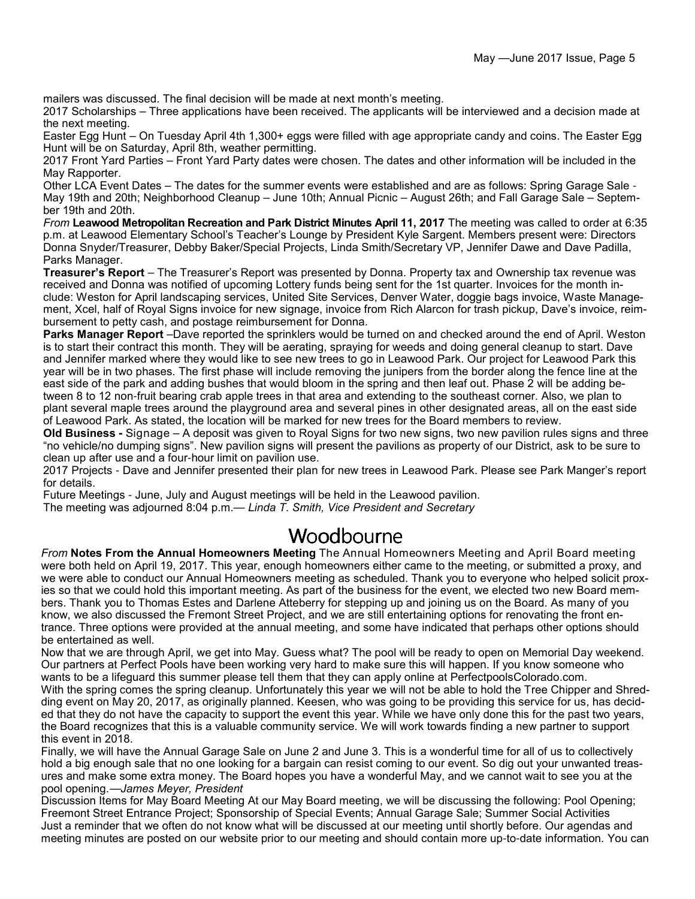mailers was discussed. The final decision will be made at next month's meeting.

2017 Scholarships – Three applications have been received. The applicants will be interviewed and a decision made at the next meeting.

Easter Egg Hunt – On Tuesday April 4th 1,300+ eggs were filled with age appropriate candy and coins. The Easter Egg Hunt will be on Saturday, April 8th, weather permitting.

2017 Front Yard Parties – Front Yard Party dates were chosen. The dates and other information will be included in the May Rapporter.

Other LCA Event Dates – The dates for the summer events were established and are as follows: Spring Garage Sale - May 19th and 20th; Neighborhood Cleanup – June 10th; Annual Picnic – August 26th; and Fall Garage Sale – September 19th and 20th.

*From* **Leawood Metropolitan Recreation and Park District Minutes April 11, 2017** The meeting was called to order at 6:35 p.m. at Leawood Elementary School's Teacher's Lounge by President Kyle Sargent. Members present were: Directors Donna Snyder/Treasurer, Debby Baker/Special Projects, Linda Smith/Secretary VP, Jennifer Dawe and Dave Padilla, Parks Manager.

**Treasurer's Report** – The Treasurer's Report was presented by Donna. Property tax and Ownership tax revenue was received and Donna was notified of upcoming Lottery funds being sent for the 1st quarter. Invoices for the month include: Weston for April landscaping services, United Site Services, Denver Water, doggie bags invoice, Waste Management, Xcel, half of Royal Signs invoice for new signage, invoice from Rich Alarcon for trash pickup, Dave's invoice, reimbursement to petty cash, and postage reimbursement for Donna.

**Parks Manager Report** –Dave reported the sprinklers would be turned on and checked around the end of April. Weston is to start their contract this month. They will be aerating, spraying for weeds and doing general cleanup to start. Dave and Jennifer marked where they would like to see new trees to go in Leawood Park. Our project for Leawood Park this year will be in two phases. The first phase will include removing the junipers from the border along the fence line at the east side of the park and adding bushes that would bloom in the spring and then leaf out. Phase 2 will be adding between 8 to 12 non-fruit bearing crab apple trees in that area and extending to the southeast corner. Also, we plan to plant several maple trees around the playground area and several pines in other designated areas, all on the east side of Leawood Park. As stated, the location will be marked for new trees for the Board members to review.

**Old Business -** Signage – A deposit was given to Royal Signs for two new signs, two new pavilion rules signs and three "no vehicle/no dumping signs". New pavilion signs will present the pavilions as property of our District, ask to be sure to clean up after use and a four-hour limit on pavilion use.

2017 Projects - Dave and Jennifer presented their plan for new trees in Leawood Park. Please see Park Manger's report for details.

Future Meetings - June, July and August meetings will be held in the Leawood pavilion.

The meeting was adjourned 8:04 p.m.— *Linda T. Smith, Vice President and Secretary*

### Woodbourne

*From* **Notes From the Annual Homeowners Meeting** The Annual Homeowners Meeting and April Board meeting were both held on April 19, 2017. This year, enough homeowners either came to the meeting, or submitted a proxy, and we were able to conduct our Annual Homeowners meeting as scheduled. Thank you to everyone who helped solicit proxies so that we could hold this important meeting. As part of the business for the event, we elected two new Board members. Thank you to Thomas Estes and Darlene Atteberry for stepping up and joining us on the Board. As many of you know, we also discussed the Fremont Street Project, and we are still entertaining options for renovating the front entrance. Three options were provided at the annual meeting, and some have indicated that perhaps other options should be entertained as well.

Now that we are through April, we get into May. Guess what? The pool will be ready to open on Memorial Day weekend. Our partners at Perfect Pools have been working very hard to make sure this will happen. If you know someone who wants to be a lifeguard this summer please tell them that they can apply online at PerfectpoolsColorado.com. With the spring comes the spring cleanup. Unfortunately this year we will not be able to hold the Tree Chipper and Shredding event on May 20, 2017, as originally planned. Keesen, who was going to be providing this service for us, has decided that they do not have the capacity to support the event this year. While we have only done this for the past two years, the Board recognizes that this is a valuable community service. We will work towards finding a new partner to support this event in 2018.

Finally, we will have the Annual Garage Sale on June 2 and June 3. This is a wonderful time for all of us to collectively hold a big enough sale that no one looking for a bargain can resist coming to our event. So dig out your unwanted treasures and make some extra money. The Board hopes you have a wonderful May, and we cannot wait to see you at the pool opening.—*James Meyer, President*

Discussion Items for May Board Meeting At our May Board meeting, we will be discussing the following: Pool Opening; Freemont Street Entrance Project; Sponsorship of Special Events; Annual Garage Sale; Summer Social Activities Just a reminder that we often do not know what will be discussed at our meeting until shortly before. Our agendas and meeting minutes are posted on our website prior to our meeting and should contain more up-to-date information. You can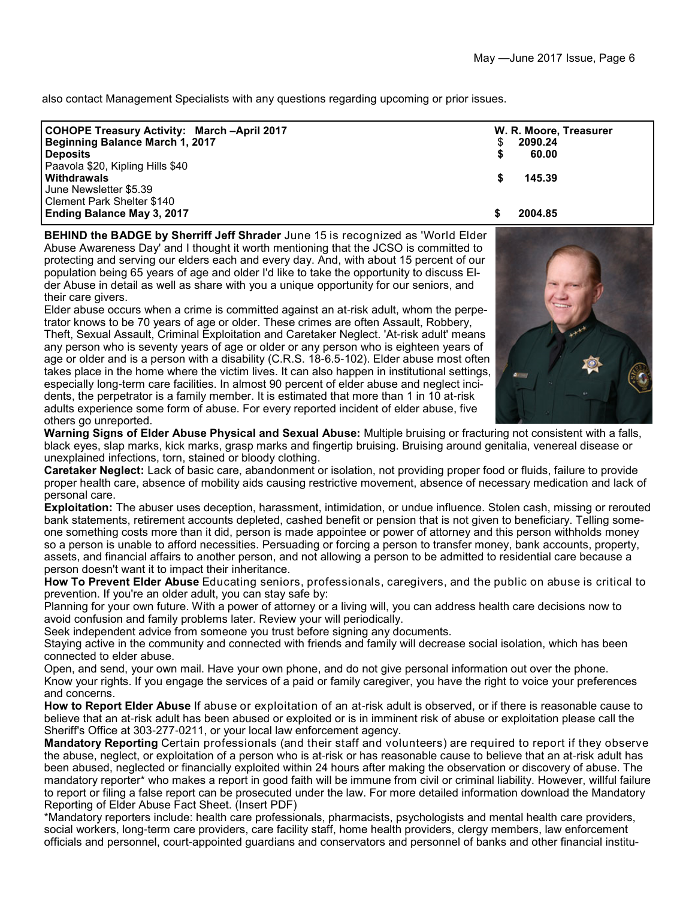also contact Management Specialists with any questions regarding upcoming or prior issues.

| <b>COHOPE Treasury Activity: March -April 2017</b> | W. R. Moore, Treasurer |
|----------------------------------------------------|------------------------|
| Beginning Balance March 1, 2017                    | 2090.24                |
| <b>Deposits</b>                                    | 60.00                  |
| Paavola \$20, Kipling Hills \$40                   |                        |
| <b>Withdrawals</b>                                 | 145.39                 |
| June Newsletter \$5.39                             |                        |
| Clement Park Shelter \$140                         |                        |
| <b>Ending Balance May 3, 2017</b>                  | 2004.85                |
|                                                    |                        |

**BEHIND the BADGE by Sherriff Jeff Shrader** June 15 is recognized as 'World Elder Abuse Awareness Day' and I thought it worth mentioning that the JCSO is committed to protecting and serving our elders each and every day. And, with about 15 percent of our population being 65 years of age and older I'd like to take the opportunity to discuss Elder Abuse in detail as well as share with you a unique opportunity for our seniors, and their care givers.

Elder abuse occurs when a crime is committed against an at-risk adult, whom the perpetrator knows to be 70 years of age or older. These crimes are often Assault, Robbery, Theft, Sexual Assault, Criminal Exploitation and Caretaker Neglect. 'At-risk adult' means any person who is seventy years of age or older or any person who is eighteen years of age or older and is a person with a disability (C.R.S. 18-6.5-102). Elder abuse most often takes place in the home where the victim lives. It can also happen in institutional settings, especially long-term care facilities. In almost 90 percent of elder abuse and neglect incidents, the perpetrator is a family member. It is estimated that more than 1 in 10 at-risk adults experience some form of abuse. For every reported incident of elder abuse, five others go unreported.



**Warning Signs of Elder Abuse Physical and Sexual Abuse:** Multiple bruising or fracturing not consistent with a falls, black eyes, slap marks, kick marks, grasp marks and fingertip bruising. Bruising around genitalia, venereal disease or unexplained infections, torn, stained or bloody clothing.

**Caretaker Neglect:** Lack of basic care, abandonment or isolation, not providing proper food or fluids, failure to provide proper health care, absence of mobility aids causing restrictive movement, absence of necessary medication and lack of personal care.

**Exploitation:** The abuser uses deception, harassment, intimidation, or undue influence. Stolen cash, missing or rerouted bank statements, retirement accounts depleted, cashed benefit or pension that is not given to beneficiary. Telling someone something costs more than it did, person is made appointee or power of attorney and this person withholds money so a person is unable to afford necessities. Persuading or forcing a person to transfer money, bank accounts, property, assets, and financial affairs to another person, and not allowing a person to be admitted to residential care because a person doesn't want it to impact their inheritance.

**How To Prevent Elder Abuse** Educating seniors, professionals, caregivers, and the public on abuse is critical to prevention. If you're an older adult, you can stay safe by:

Planning for your own future. With a power of attorney or a living will, you can address health care decisions now to avoid confusion and family problems later. Review your will periodically.

Seek independent advice from someone you trust before signing any documents.

Staying active in the community and connected with friends and family will decrease social isolation, which has been connected to elder abuse.

Open, and send, your own mail. Have your own phone, and do not give personal information out over the phone. Know your rights. If you engage the services of a paid or family caregiver, you have the right to voice your preferences and concerns.

**How to Report Elder Abuse** If abuse or exploitation of an at-risk adult is observed, or if there is reasonable cause to believe that an at-risk adult has been abused or exploited or is in imminent risk of abuse or exploitation please call the Sheriff's Office at 303-277-0211, or your local law enforcement agency.

**Mandatory Reporting** Certain professionals (and their staff and volunteers) are required to report if they observe the abuse, neglect, or exploitation of a person who is at-risk or has reasonable cause to believe that an at-risk adult has been abused, neglected or financially exploited within 24 hours after making the observation or discovery of abuse. The mandatory reporter\* who makes a report in good faith will be immune from civil or criminal liability. However, willful failure to report or filing a false report can be prosecuted under the law. For more detailed information download the Mandatory Reporting of Elder Abuse Fact Sheet. (Insert PDF)

\*Mandatory reporters include: health care professionals, pharmacists, psychologists and mental health care providers, social workers, long-term care providers, care facility staff, home health providers, clergy members, law enforcement officials and personnel, court-appointed guardians and conservators and personnel of banks and other financial institu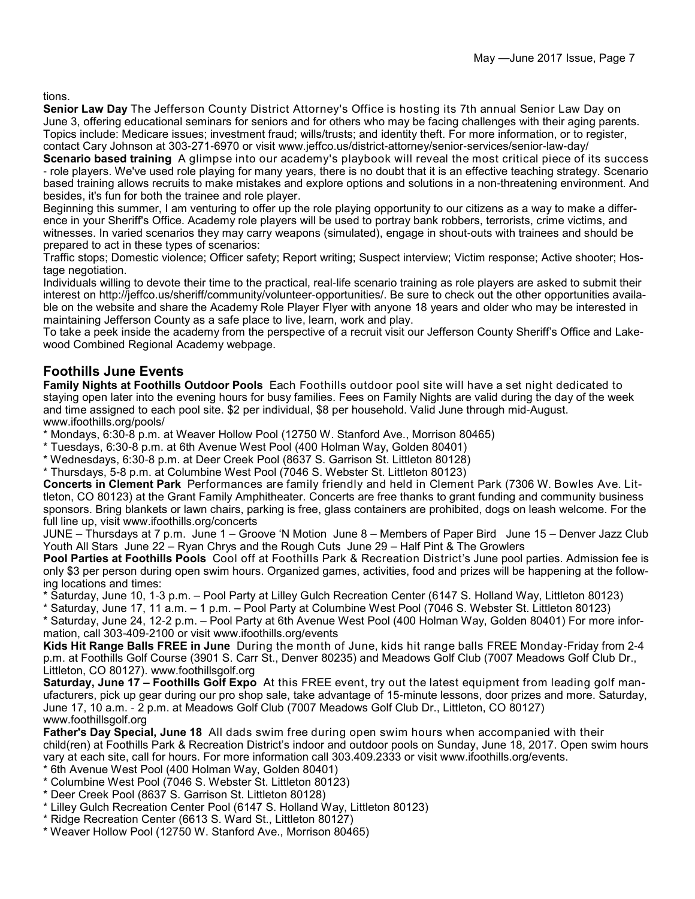tions.

**Senior Law Day** The Jefferson County District Attorney's Office is hosting its 7th annual Senior Law Day on June 3, offering educational seminars for seniors and for others who may be facing challenges with their aging parents. Topics include: Medicare issues; investment fraud; wills/trusts; and identity theft. For more information, or to register, contact Cary Johnson at 303-271-6970 or visit www.jeffco.us/district-attorney/senior-services/senior-law-day/

**Scenario based training** A glimpse into our academy's playbook will reveal the most critical piece of its success - role players. We've used role playing for many years, there is no doubt that it is an effective teaching strategy. Scenario based training allows recruits to make mistakes and explore options and solutions in a non-threatening environment. And besides, it's fun for both the trainee and role player.

Beginning this summer, I am venturing to offer up the role playing opportunity to our citizens as a way to make a difference in your Sheriff's Office. Academy role players will be used to portray bank robbers, terrorists, crime victims, and witnesses. In varied scenarios they may carry weapons (simulated), engage in shout-outs with trainees and should be prepared to act in these types of scenarios:

Traffic stops; Domestic violence; Officer safety; Report writing; Suspect interview; Victim response; Active shooter; Hostage negotiation.

Individuals willing to devote their time to the practical, real-life scenario training as role players are asked to submit their interest on http://jeffco.us/sheriff/community/volunteer-opportunities/. Be sure to check out the other opportunities available on the website and share the Academy Role Player Flyer with anyone 18 years and older who may be interested in maintaining Jefferson County as a safe place to live, learn, work and play.

To take a peek inside the academy from the perspective of a recruit visit our Jefferson County Sheriff's Office and Lakewood Combined Regional Academy webpage.

#### **Foothills June Events**

**Family Nights at Foothills Outdoor Pools** Each Foothills outdoor pool site will have a set night dedicated to staying open later into the evening hours for busy families. Fees on Family Nights are valid during the day of the week and time assigned to each pool site. \$2 per individual, \$8 per household. Valid June through mid-August. www.ifoothills.org/pools/

\* Mondays, 6:30-8 p.m. at Weaver Hollow Pool (12750 W. Stanford Ave., Morrison 80465)

\* Tuesdays, 6:30-8 p.m. at 6th Avenue West Pool (400 Holman Way, Golden 80401)

\* Wednesdays, 6:30-8 p.m. at Deer Creek Pool (8637 S. Garrison St. Littleton 80128)

\* Thursdays, 5-8 p.m. at Columbine West Pool (7046 S. Webster St. Littleton 80123)

**Concerts in Clement Park** Performances are family friendly and held in Clement Park (7306 W. Bowles Ave. Littleton, CO 80123) at the Grant Family Amphitheater. Concerts are free thanks to grant funding and community business sponsors. Bring blankets or lawn chairs, parking is free, glass containers are prohibited, dogs on leash welcome. For the full line up, visit www.ifoothills.org/concerts

JUNE – Thursdays at 7 p.m. June 1 – Groove 'N Motion June 8 – Members of Paper Bird June 15 – Denver Jazz Club Youth All Stars June 22 – Ryan Chrys and the Rough Cuts June 29 – Half Pint & The Growlers

**Pool Parties at Foothills Pools** Cool off at Foothills Park & Recreation District's June pool parties. Admission fee is only \$3 per person during open swim hours. Organized games, activities, food and prizes will be happening at the following locations and times:

\* Saturday, June 10, 1-3 p.m. – Pool Party at Lilley Gulch Recreation Center (6147 S. Holland Way, Littleton 80123)

\* Saturday, June 17, 11 a.m. – 1 p.m. – Pool Party at Columbine West Pool (7046 S. Webster St. Littleton 80123)

\* Saturday, June 24, 12-2 p.m. – Pool Party at 6th Avenue West Pool (400 Holman Way, Golden 80401) For more information, call 303-409-2100 or visit www.ifoothills.org/events

**Kids Hit Range Balls FREE in June** During the month of June, kids hit range balls FREE Monday-Friday from 2-4 p.m. at Foothills Golf Course (3901 S. Carr St., Denver 80235) and Meadows Golf Club (7007 Meadows Golf Club Dr., Littleton, CO 80127). www.foothillsgolf.org

**Saturday, June 17 – Foothills Golf Expo** At this FREE event, try out the latest equipment from leading golf manufacturers, pick up gear during our pro shop sale, take advantage of 15-minute lessons, door prizes and more. Saturday, June 17, 10 a.m. - 2 p.m. at Meadows Golf Club (7007 Meadows Golf Club Dr., Littleton, CO 80127) www.foothillsgolf.org

**Father's Day Special, June 18** All dads swim free during open swim hours when accompanied with their child(ren) at Foothills Park & Recreation District's indoor and outdoor pools on Sunday, June 18, 2017. Open swim hours vary at each site, call for hours. For more information call 303.409.2333 or visit www.ifoothills.org/events.

- \* 6th Avenue West Pool (400 Holman Way, Golden 80401)
- \* Columbine West Pool (7046 S. Webster St. Littleton 80123)
- \* Deer Creek Pool (8637 S. Garrison St. Littleton 80128)
- \* Lilley Gulch Recreation Center Pool (6147 S. Holland Way, Littleton 80123)
- \* Ridge Recreation Center (6613 S. Ward St., Littleton 80127)
- \* Weaver Hollow Pool (12750 W. Stanford Ave., Morrison 80465)